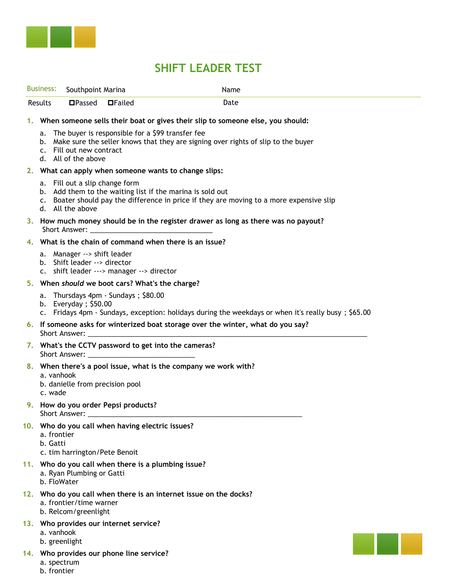

## **SHIFT LEADER TEST**

| Business:                                                                                                                                                                                                                                                                           |                                                                                                                                                                                                                                                                                                                            | Southpoint Marina                                                                                        |  |  | Name                                                                                                |  |
|-------------------------------------------------------------------------------------------------------------------------------------------------------------------------------------------------------------------------------------------------------------------------------------|----------------------------------------------------------------------------------------------------------------------------------------------------------------------------------------------------------------------------------------------------------------------------------------------------------------------------|----------------------------------------------------------------------------------------------------------|--|--|-----------------------------------------------------------------------------------------------------|--|
| Results                                                                                                                                                                                                                                                                             |                                                                                                                                                                                                                                                                                                                            | □Passed □Failed                                                                                          |  |  | Date                                                                                                |  |
| 1. When someone sells their boat or gives their slip to someone else, you should:<br>a. The buyer is responsible for a \$99 transfer fee<br>b. Make sure the seller knows that they are signing over rights of slip to the buyer<br>c. Fill out new contract<br>d. All of the above |                                                                                                                                                                                                                                                                                                                            |                                                                                                          |  |  |                                                                                                     |  |
|                                                                                                                                                                                                                                                                                     | 2. What can apply when someone wants to change slips:                                                                                                                                                                                                                                                                      |                                                                                                          |  |  |                                                                                                     |  |
| a. Fill out a slip change form<br>b. Add them to the waiting list if the marina is sold out<br>c. Boater should pay the difference in price if they are moving to a more expensive slip<br>d. All the above                                                                         |                                                                                                                                                                                                                                                                                                                            |                                                                                                          |  |  |                                                                                                     |  |
|                                                                                                                                                                                                                                                                                     | 3. How much money should be in the register drawer as long as there was no payout?<br>Short Answer: <u>with the contract of the contract of the contract of the contract of the contract of the contract of the contract of the contract of the contract of the contract of the contract of the contract of the contra</u> |                                                                                                          |  |  |                                                                                                     |  |
| 4. What is the chain of command when there is an issue?                                                                                                                                                                                                                             |                                                                                                                                                                                                                                                                                                                            |                                                                                                          |  |  |                                                                                                     |  |
|                                                                                                                                                                                                                                                                                     |                                                                                                                                                                                                                                                                                                                            | a. Manager --> shift leader<br>b. Shift leader --> director<br>c. shift leader ---> manager --> director |  |  |                                                                                                     |  |
| 5. When should we boot cars? What's the charge?                                                                                                                                                                                                                                     |                                                                                                                                                                                                                                                                                                                            |                                                                                                          |  |  |                                                                                                     |  |
|                                                                                                                                                                                                                                                                                     |                                                                                                                                                                                                                                                                                                                            | a. Thursdays 4pm - Sundays; \$80.00<br>b. Everyday; $$50.00$                                             |  |  | c. Fridays 4pm - Sundays, exception: holidays during the weekdays or when it's really busy; \$65.00 |  |
|                                                                                                                                                                                                                                                                                     | 6. If someone asks for winterized boat storage over the winter, what do you say?                                                                                                                                                                                                                                           |                                                                                                          |  |  |                                                                                                     |  |
|                                                                                                                                                                                                                                                                                     | 7. What's the CCTV password to get into the cameras?                                                                                                                                                                                                                                                                       |                                                                                                          |  |  |                                                                                                     |  |
|                                                                                                                                                                                                                                                                                     | 8. When there's a pool issue, what is the company we work with?<br>a. vanhook<br>b. danielle from precision pool<br>c. wade                                                                                                                                                                                                |                                                                                                          |  |  |                                                                                                     |  |
|                                                                                                                                                                                                                                                                                     | 9. How do you order Pepsi products?<br>Short Answer:                                                                                                                                                                                                                                                                       |                                                                                                          |  |  |                                                                                                     |  |
|                                                                                                                                                                                                                                                                                     | 10. Who do you call when having electric issues?<br>a. frontier<br>b. Gatti<br>c. tim harrington/Pete Benoit                                                                                                                                                                                                               |                                                                                                          |  |  |                                                                                                     |  |
|                                                                                                                                                                                                                                                                                     | 11. Who do you call when there is a plumbing issue?<br>a. Ryan Plumbing or Gatti<br>b. FloWater                                                                                                                                                                                                                            |                                                                                                          |  |  |                                                                                                     |  |
|                                                                                                                                                                                                                                                                                     | 12. Who do you call when there is an internet issue on the docks?<br>a. frontier/time warner<br>b. Relcom/greenlight                                                                                                                                                                                                       |                                                                                                          |  |  |                                                                                                     |  |

- **13. Who provides our internet service?** 
	- a. vanhook
	- b. greenlight
- **14. Who provides our phone line service?** 
	- a. spectrum
	- b. frontier